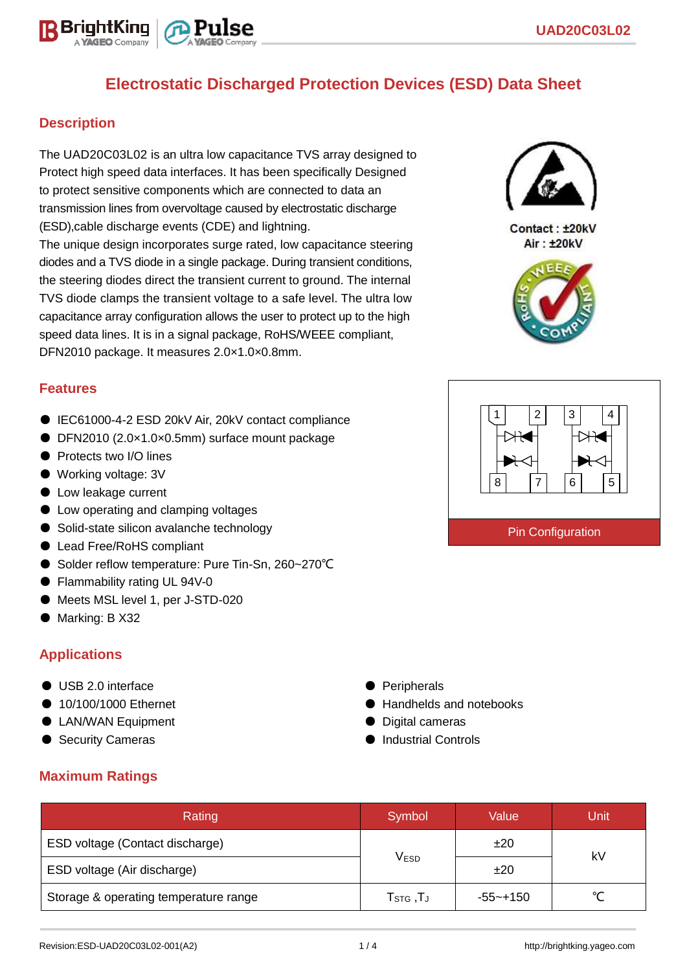# **Electrostatic Discharged Protection Devices (ESD) Data Sheet**

### **Description**

The UAD20C03L02 is an ultra low capacitance TVS array designed to Protect high speed data interfaces. It has been specifically Designed to protect sensitive components which are connected to data an transmission lines from overvoltage caused by electrostatic discharge (ESD),cable discharge events (CDE) and lightning. The unique design incorporates surge rated, low capacitance steering diodes and a TVS diode in a single package. During transient conditions, the steering diodes direct the transient current to ground. The internal TVS diode clamps the transient voltage to a safe level. The ultra low capacitance array configuration allows the user to protect up to the high speed data lines. It is in a signal package, RoHS/WEEE compliant, DFN2010 package. It measures 2.0×1.0×0.8mm.

#### **Features**

- IEC61000-4-2 ESD 20kV Air, 20kV contact compliance
- DFN2010 (2.0×1.0×0.5mm) surface mount package
- Protects two I/O lines
- Working voltage: 3V
- Low leakage current
- Low operating and clamping voltages
- Solid-state silicon avalanche technology
- Lead Free/RoHS compliant
- Solder reflow temperature: Pure Tin-Sn, 260~270°C
- Flammability rating UL 94V-0
- Meets MSL level 1, per J-STD-020
- Marking: B X32

#### **Applications**

- USB 2.0 interface
- 10/100/1000 Ethernet
- LAN/WAN Equipment
- Security Cameras

# **Maximum Ratings**

| Rating                                | Symbol                                     | Value    | Unitl  |  |
|---------------------------------------|--------------------------------------------|----------|--------|--|
| ESD voltage (Contact discharge)       |                                            | ±20      | kV     |  |
| ESD voltage (Air discharge)           | $\mathsf{V}_{\mathsf{ESD}}$                | ±20      |        |  |
| Storage & operating temperature range | ${\sf T}_{\text{STG}}$ , ${\sf T}_{\sf J}$ | -55~+150 | $\sim$ |  |



Contact: ±20kV Air: ±20kV





● Peripherals

- Handhelds and notebooks
- Digital cameras
- Industrial Controls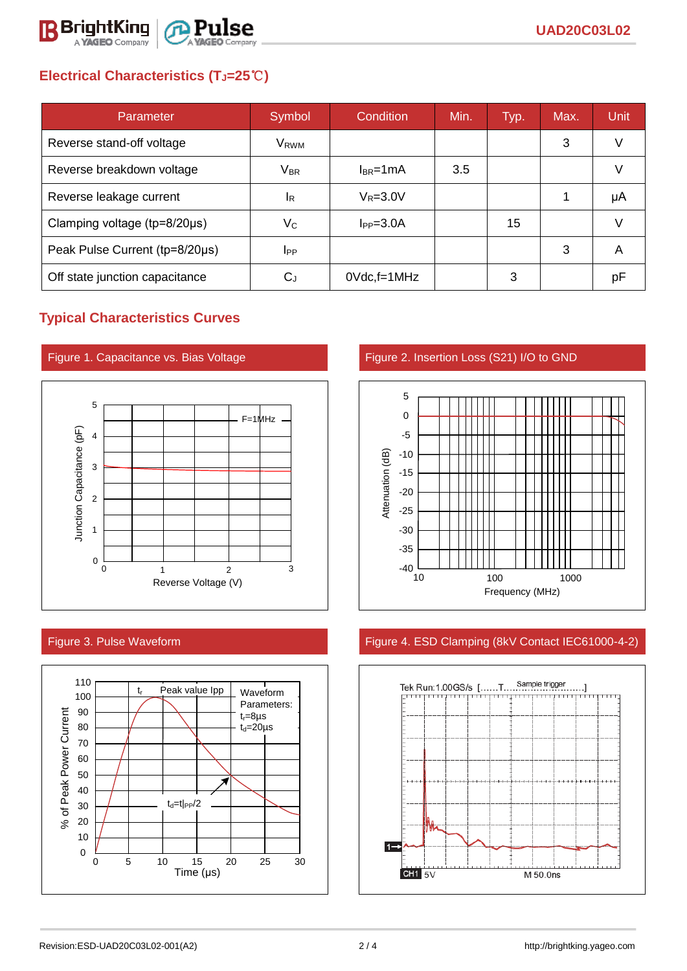

# **Electrical Characteristics (TJ=25**℃**)**

| Parameter                              | Symbol                     | Condition       | Min. | Typ. | Max. | Unit |
|----------------------------------------|----------------------------|-----------------|------|------|------|------|
| Reverse stand-off voltage              | V <sub>RWM</sub>           |                 |      |      | 3    |      |
| Reverse breakdown voltage              | $\mathsf{V}_{\mathsf{BR}}$ | $I_{BR}$ =1mA   | 3.5  |      |      |      |
| Reverse leakage current                | <b>I</b> R                 | $V_R = 3.0V$    |      |      |      | μA   |
| Clamping voltage ( $tp = 8/20 \mu s$ ) | Vc                         | $I_{PP} = 3.0A$ |      | 15   |      |      |
| Peak Pulse Current (tp=8/20µs)         | <b>I</b> PP                |                 |      |      | 3    | A    |
| Off state junction capacitance         | C,                         | $0Vdc.f=1MHz$   |      | 3    |      | рF   |

## **Typical Characteristics Curves**







Figure 1. Capacitance vs. Bias Voltage Figure 2. Insertion Loss (S21) I/O to GND



#### Figure 3. Pulse Waveform **Figure 4. ESD Clamping (8kV Contact IEC61000-4-2)**

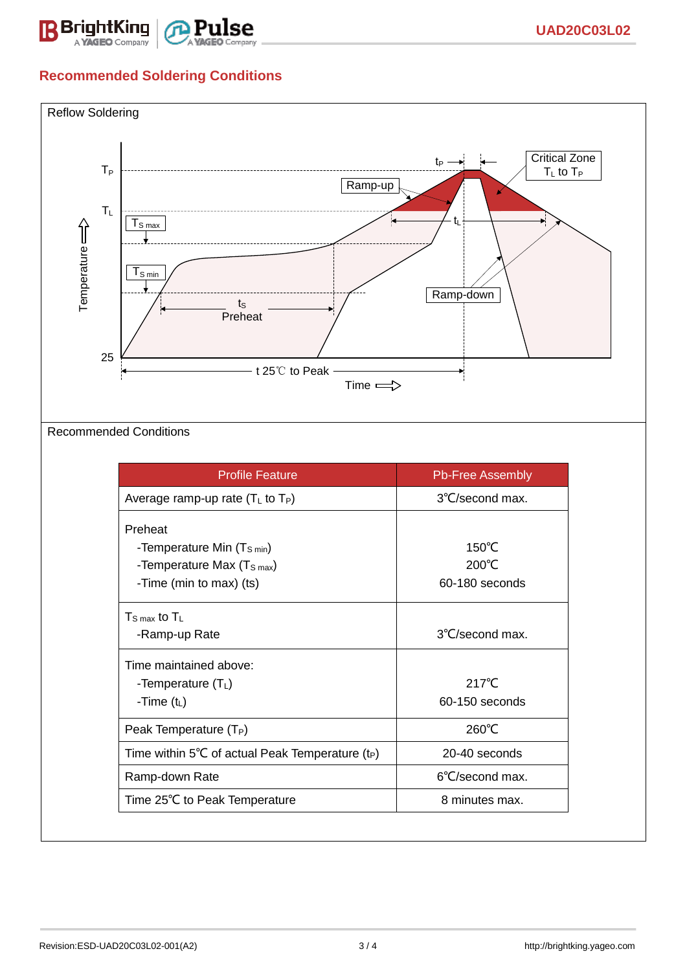

# **Recommended Soldering Conditions**